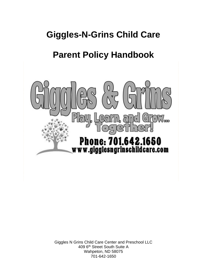# **Giggles-N-Grins Child Care**

# **Parent Policy Handbook**



Giggles N Grins Child Care Center and Preschool LLC 409 6th Street South Suite A Wahpeton, ND 58075 701-642-1650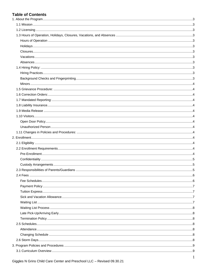# **Table of Contents**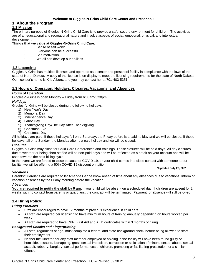# **Welcome to Giggles-N-Grins Child Care Center and Preschool!**

# <span id="page-3-0"></span>**1. About the Program**

# <span id="page-3-1"></span>**1.1 Mission**

The primary purpose of Giggles-N-Grins Child Care is to provide a safe, secure environment for children. The activities are of an educational and recreational nature and involve aspects of social, emotional, physical, and intellectual development.

#### **Things that we value at Giggles-N-Grins Child Care:**

- Sense of self worth
- Everyone can be successful
- Self-motivation
- We all can develop our abilities

# <span id="page-3-2"></span>**1.2 Licensing**

Giggles-N-Grins has multiple licenses and operates as a center and preschool facility in compliance with the laws of the state of North Dakota. A copy of the license is on display to meet the licensing requirements for the state of North Dakota. Our licensor's name is Kris Albers, and you may contact her at 701-403-5351.

# <span id="page-3-3"></span>**1.3 Hours of Operation, Holidays, Closures, Vacations, and Absences**

#### <span id="page-3-4"></span>*Hours of Operation*

Giggles-N-Grins is open Monday – Friday from 6:30am-5:30pm

#### <span id="page-3-5"></span>*Holidays*

Giggles-N- Grins will be closed during the following holidays:

- 1) New Year's Day
- 2) Memorial Day
- 3) Independence Day
- 4) Labor Day
- 5) Thanksgiving Day/The Day After Thanksgiving
- 6) Christmas Eve
- 7) Christmas Day

All holidays are paid. If these holidays fall on a Saturday, the Friday before is a paid holiday and we will be closed. If these holidays fall on a Sunday, the Monday after is a paid holiday and we will be closed.

#### <span id="page-3-6"></span>*Closures*

Giggles-N-Grins may close for Child Care Conferences and trainings. These closures will be paid days. All day closures due to weather or being short staffed will be non-paid days and will be reflected as a credit on your account and will be used towards the next billing cycle.

In the event we are forced to close because of COVID-19, or your child comes into close contact with someone at our facility, we will be offering a 50% COVID-19 discount on tuition.

#### **\*Updated July 22, 2021**

#### <span id="page-3-7"></span>*Vacations*

Parents/Guardians are required to let Amanda Gagne know ahead of time about any absences due to vacations. Inform of vacation absences by the Friday morning before the vacation.

#### <span id="page-3-8"></span>*Absences*

**You are required to notify the staff by 9 am,** if your child will be absent on a scheduled day. If children are absent for 2 weeks with no contact from parents or guardians, the contract will be terminated. Payment for absence will still be owed.

#### <span id="page-3-9"></span>**1.4 Hiring Policy:**

#### <span id="page-3-10"></span>*Hiring Practices*

- Staff are encouraged to have 12 months of previous experience in child care.
- All staff are required per licensing to have minimum hours of training annually depending on hours worked per week.
- All staff are required to have CPR, First Aid and AED certificates within 3 months of hiring.

#### <span id="page-3-11"></span>*Background Checks and Fingerprinting*

- All staff, regardless of age, must complete a federal and state background check before being allowed to start their employment.
- Neither the Director nor any staff member employed or abiding in the facility will have been found guilty of homicide, assaults, kidnapping, gross sexual imposition, corruption or solicitation of minors, sexual abuse, sexual assault, robbery, burglary, sexual performances of children, promoting or facilitating prostitution, or a similar offense.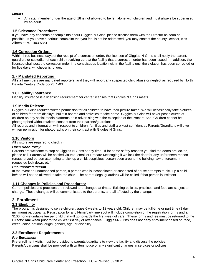#### <span id="page-4-0"></span>*Minors*

• Any staff member under the age of 18 is not allowed to be left alone with children and must always be supervised by an adult.

#### <span id="page-4-1"></span>**1.5 Grievance Procedure:**

If you have any concerns or complaints about Giggles-N-Grins, please discuss them with the Director as soon as possible. If you have a serious complaint that you feel is not be addressed, you may contact the county licensor, Kris Albers at 701-403-5351.

# <span id="page-4-2"></span>**1.6 Correction Orders:**

Within three business days of the receipt of a correction order, the licensee of Giggles-N-Grins shall notify the parent, guardian, or custodian of each child receiving care at the facility that a correction order has been issued. In addition, the licensee shall post the correction order in a conspicuous location within the facility until the violation has been corrected or for five days, whichever is longer.

# <span id="page-4-3"></span>**1.7 Mandated Reporting:**

All staff members are mandated reporters, and they will report any suspected child abuse or neglect as required by North Dakota Century Code 50-25. 1-03.

# <span id="page-4-4"></span>**1.8 Liability Insurance**

<span id="page-4-5"></span>Liability Insurance is a licensing requirement for center licenses that Giggles N Grins meets.

# **1.9 Media Release**

Giggles-N-Grins requires written permission for all children to have their picture taken. We will occasionally take pictures of children for room displays, bulletin boards and activities to take home. Giggles-N-Grins will never post pictures of children on any social media platforms or in advertising with the exception of the Procare App. Children cannot be photographed without written consent from their parents/guardians.

All records and information with respect to children, families and staff are kept confidential. Parents/Guardians will give written permission for photographs on their contract with Giggles N Grins.

# <span id="page-4-6"></span>**1.10 Visitors**

All visitors are required to check in.

#### <span id="page-4-7"></span>*Open Door Policy*

Parents are welcome to stop at Giggles-N-Grins at any time. If for some safety reasons you find the doors are locked, please call. Parents will be notified via text, email or Procare Messaging if we lock the door for any unforeseen reason (unauthorized person attempting to pick up a child, suspicious person seen around the building, law enforcement requested lock down, etc.)

#### <span id="page-4-8"></span>*Unauthorized Person*

In the event an unauthorized person, a person who is incapacitated or suspected of abuse attempts to pick up a child, he/she will not be allowed to take the child. The parent (legal guardian) will be called if that person is insistent.

#### <span id="page-4-9"></span>**1.11 Changes in Policies and Procedures:**

Current policies and practices are reviewed and changed at times. Existing policies, practices, and fees are subject to change. These changes will be communicated to the parents, and all affected by the changes.

# <span id="page-4-10"></span>**2. Enrollment**

#### <span id="page-4-11"></span>**2.1 Eligibility**

The program is designed to serve children, ages 6 weeks to 12 years old. Children may be full-time or part time (3 day minimum) participants. Registration for a full-time/part-time spot will include completion of the registration forms and a \$100 non-refundable fee per child that will go towards the first week of care. These forms and fee must be returned to the Director **one week** prior to the child's first day of attendance. Giggles-N-Grins does not deny enrollment based on race, creed, color, national origin, gender, age, or disability.

#### <span id="page-4-12"></span>**2.2 Enrollment Requirements**

#### <span id="page-4-13"></span>*Pre-Enrollment*

Pre-enrollment visits must be provided to parents/guardians to view the facility and discuss the policies. Parents/guardians shall be provided with written notice of any significant changes in services or policies.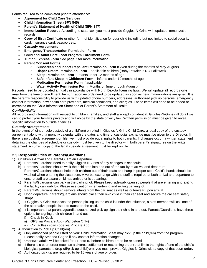Forms required to be completed prior to attendance:

- **Agreement for Child Care Services**
- **Child Information Sheet (SFN 845)**
- **Parent's Statement of Health of Child (SFN 847)**
- **Immunization Records** According to state law, you must provide Giggles-N-Grins with updated immunization records.
- **Copy of Birth Certificate** or other form of identification for your child including but not limited to social security card, insurance card, passport etc.
- **Custody Agreements**
- **Emergency Transportation Permission Form**
- **Child and Adult Care Food Program Enrollment Form**
- **Tuition Express Form** See page 7 for more information
- **Parent Consent Forms**
	- o **Sunscreen and Insect Repellant Permission Form** (Given during the months of May-August)
	- o **Diaper Cream Permission Form** applicable children (Baby Powder is NOT allowed)
	- o **Sleep Permission Form** infants under 12 months of age
	- o **Safe Infant Sleep in Childcare Form** infants under 12 months of age
	- o **Medication Permission Form** If applicable
	- o **Water Activity Permission Form** (Months of June through August)

Records need to be updated annually in accordance with North Dakota licensing laws. We will update all records **one year** from the time of enrollment. Immunization records need to be updated as soon as new immunizations are given. It is the parent's responsibility to provide us with updated phone numbers, addresses, authorized pick up persons, emergency contact information, new health care providers, medical conditions, and allergies. These items will need to be added or corrected on the Child Information Sheet and or Parent's Statement of Health.

#### <span id="page-5-0"></span>*Confidentiality*

All records and information with respect to children, families, and staff are kept confidential. Giggles-N-Grins will do all we can to protect your family's privacy and will abide by the state privacy law. Written permission must be given to reveal specific information to outside agencies.

#### <span id="page-5-1"></span>*Custody Arrangements*

In the event of joint or sole custody of a child(ren) enrolled in Giggles N Grins Child Care, a legal copy of the custody agreement along with a monthly calendar with the dates and time of custodial exchange must be given to the Director. If there is no custody agreement on file, we must provide equal rights to both parents. If changes occur, a written statement detailing the changes of schedule or custody must be given to the director with both parent's signatures on the written statement. A current copy of the legal custody agreement must be kept on file.

# <span id="page-5-2"></span>**2.3 Responsibilities of Parents/Guardians**

- 1) Children's Arrival and Parent/Guardian Departure
	- a) Parents/Guardians need to notify Giggles-N-Grins of any changes in schedule.
	- b) Parents/Guardians should walk their children into and out of the facility at arrival and departure. Parents/Guardians should help their children out of their coats and hang in proper spot. Child's hands should be washed when entering the classroom. A verbal exchange with the staff is required at both arrival and departure to ensure staff are aware child has arrived or is departing.
	- c) Parents/Guardians can park in the parking lot. Please keep sidewalk open so people that are entering and exiting the facility can walk by. Please use caution when entering and exiting parking lot.
	- d) Parents/Guardians should remove infants from the car seat as well as outerwear upon arrival.
	- e) Upon departure, parents/guardians should place their own child in their car seat and secure the car seat safety straps.
	- f) If Giggles-N-Grins suspects the person picking up the child is under the influence, a staff member will call one of the alternative people listed to transport the child.
	- g) It is important that parents/guardians/authorized pick-up sign their child in and out. Parents/Guardians have three options for signing their children in and out.
		- i) Check In Kiosk
		- ii) GPS via Procare App (Wahpeton Only)
		- iii) Contactless scan code via Procare App
- 2) Authorization to Pick Up Child(ren)
	- a) Only authorized people listed on your Child Information Sheet may pick up the child(ren) from the program. Please notify Amanda Gagne if any contact information changes.
	- b) Unknown adults will be asked for a Photo ID before children are to be released.
	- c) If there is a court order (such as a divorce settlement or restraining order) that limits the rights of one of the child's biological parents to drop-off/pick-up child(ren), you must provide Giggles-N-Grins with a copy of that court order.
	- d) Authorized pick up are required to be 16 years of age or older.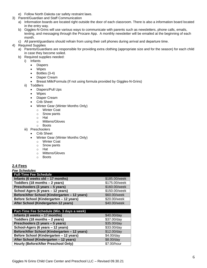- e) Follow North Dakota car safety restraint laws.
- 3) Parent/Guardian and Staff Communication
	- a) Information boards are located right outside the door of each classroom. There is also a information board located in the entry way.
	- b) Giggles-N-Grins will use various ways to communicate with parents such as newsletters, phone calls, emails, texting, and messaging through the Procare App. A monthly newsletter will be emailed at the beginning of each month.
	- c) All parent/guardians should refrain from using their cell phones during arrival and departure time.
- 4) Required Supplies
	- a) Parents/Guardians are responsible for providing extra clothing (appropriate size and for the season) for each child in case they become soiled.
	- b) Required supplies needed:
		- i) Infants
			- Diapers
			- Wipes
			- Bottles (3-4)
			- Diaper Cream
			- Breast Milk/Formula (If not using formula provided by Giggles-N-Grins)
		- ii) Toddlers
			- Diapers/Pull Ups
			- Wipes
			- Diaper Cream
			- Crib Sheet
			- Winter Gear (Winter Months Only)
				- o Winter Coat
				- o Snow pants
				- o Hat
				- o Mittens/Gloves
				- o Boots
		- iii) Preschoolers
			- **Crib Sheet**
			- Winter Gear (Winter Months Only)
				- o Winter Coat
				- o Snow pants
				- o Hat
				- o Mittens/Gloves
				- o Boots

# <span id="page-6-0"></span>**2.4 Fees**

<span id="page-6-1"></span>

| <b>Fee Schedules</b> |
|----------------------|
|                      |

| <b>Full-Time Fee Schedule</b>                 |               |
|-----------------------------------------------|---------------|
| Infants (6 weeks old - 17 months)             | \$185.00/week |
| Toddlers (18 months - 2 years)                | \$175.00/week |
| Preschoolers (3 years - 5 years)              | \$160.00/week |
| School Agers (6 years - 12 years)             | \$150.00/week |
| Before/After School (Kindergarten - 12 years) | \$60.00/week  |
| Before School (Kindergarten - 12 years)       | \$20.00/week  |
| After School (Kindergarten-12 years)          | \$40.00/week  |
|                                               |               |

| Part-Time Fee Schedule (Min. 3 days a week)   |             |  |
|-----------------------------------------------|-------------|--|
| Infants (6 weeks - 17 months)                 | \$40.00/day |  |
| Toddlers (18 months - 2 years)                | \$37.00/day |  |
| Preschoolers (3 years - 5 years)              | \$35.00/day |  |
| School-Agers (6 years - 12 years)             | \$33.00/day |  |
| Before/After School (Kindergarten - 12 years) | \$12.00/day |  |
| Before School (Kindergarten - 12 years)       | \$4.00/day  |  |
| After School (Kindergarten - 12 years)        | \$8.00/day  |  |
| Hourly (Before/After Preschool Only)          | \$7.00/hour |  |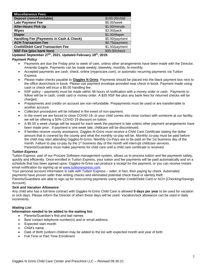| <b>Miscellaneous Fees</b>                |                |
|------------------------------------------|----------------|
| Deposit (nonrefundable)                  | \$100.00/child |
| <b>Late Payment Fee</b>                  | \$5.00/week    |
| <b>After-Hours Pick Up</b>               | \$1.00/minute  |
| <b>Wipes</b>                             | \$3.00/pack    |
| <b>Diaper</b>                            | \$1.00/diaper  |
| Handling Fee (Payments in Cash & Check)  | \$5.00/payment |
| <b>ACH Transaction Fee</b>               | \$0.75/payment |
| <b>Credit/Debit Card Transaction Fee</b> | \$1.50/payment |
| NSF Fee (plus bank fees)                 | \$35.00/check  |

**Updated September 27th, 2021. Updated February 18th, 2019.**

# <span id="page-7-0"></span>*Payment Policy*

- Payments are due the Friday prior to week of care, unless other arrangements have been made with the Director, Amanda Gagne. Payments can be made weekly, biweekly, monthly, bi-monthly.
- Accepted payments are cash, check, online (myprocare.com), or automatic recurring payments via Tuition Express.
- Please make checks payable to **Giggles N Grins**. Payments should be placed into the black payment box next to the office door/check in kiosk. Please use payment envelope provided near check in kiosk. Payment made using cash or check will incur a \$5.00 handling fee.
- NSF policy payments must be made within 48 hours of notification with a money order or cash. Payments to follow will be in cash, credit card or money order. A \$35 NSF fee plus any bank fees for returned checks will be charged.
- Prepayments and credits on account are non-refundable. Prepayments must be used or are transferrable to another account.
- Collection procedures will be initiated in the event of non-payment.
- In the event we are forced to close COVID-19, or your child comes into close contact with someone at our facility, we will be offering a 50% COVID-19 discount on tuition.
- A \$5.00 a week charge will be issued for each week the payment is late unless other payment arrangements have been made prior. If payment is one week late, childcare will be discontinued.
- If families receive county assistance, Giggles-N-Grins must receive a Child Care Certificate stating the dollar amount that is covered by the county and what the monthly co-pay will be. Monthly co-pay must be paid before the child may start attending Giggles-N-Grins. Monthly Co-Pays are to be paid on the 1st business day of the month. Failure to pay co-pay by the 1<sup>st</sup> business day of the month will interrupt childcare services. Parents/Guardians must make payments for child care until a child care certificate is received.

#### <span id="page-7-1"></span>*Tuition Express*

Tuition Express, part of our Procare Software management system, allows us to process tuition and fee payments safety, quickly and efficiently. Once enrolled in Tuition Express, your tuition and fee payments will be paid automatically and on a schedule that has been agreed upon. Giggles-N-Grins can produce a receipt for the payment, or you can receive instant email notification by signing up at [www.tutitionexpress.com.](http://www.tutitionexpress.com/)

Your personal account information is safe with Tuition Express – safer, in fact, then paying by check. Automated payments have proven safer than writing checks and eliminated potential check fraud or identity theft. Parents/Guardians are able to sign up for reoccurring payments using either Credit/Debit Card or ACH (Checking/Savings Account).

#### <span id="page-7-2"></span>*Sick and Vacation Allowance*

Any child who has a full-time contract with Giggles-N-Grins Child Care is allowed **5 days per year** to be used for vacation or sick days. Please inform the Director of when these days will be used. Vacation/sick allowance can be used in daily increments.

# <span id="page-7-3"></span>*Waiting List*

#### **Information needed to be added to the waiting list:**

- Parents/Guardian's first and last names
- Best contact telephone number(s) and or email address.
- Expected start month
- Child's name
- Date of Birth (unborn children may be added to the list with expected month and year of birth
- Full Time or Part Time Enrollment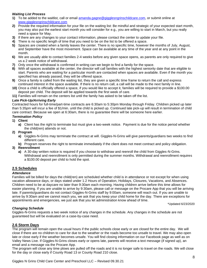# <span id="page-8-0"></span>*Waiting List Process*

- **1)** To be added to the waitlist, call or email [amanda.gagne@gigglesngrinschildcare.com,](mailto:amanda.gagne@gigglesngrinschildcare.com) or submit online at [www.gigglesngrinschildcare.com](http://www.gigglesngrinschildcare.com/)
- **2)** Provide the required information for your file on the waiting list: Be mindful and strategic of your expected start month, you may also put the earliest start month you will consider for e.g., you are willing to start in March, but you really need a space for May.
- **3)** If there are any changes to your contact information, please contact the center to update your file.
- **4)** There is no specific length of time that you need to be on the list to be offered a space.
- **5)** Spaces are created when a family leaves the center. There is no specific time, however the months of July, August, and September have the most movement. Space can be available at any time of the year and at any point in the month.
- **6)** We are usually able to contact families 2-4 weeks before any given space opens, as parents are only required to give us a 2 week notice of withdrawal.
- **7)** Only once the withdrawal is confirmed in writing can we begin to find a family for the space.
- **8)** With all spaces available at the center, the director will call families with the highest seniority date that are eligible to start. Parents who are waiting for a particular month are contacted when spaces are available. Even if the month you specified has already passed, they will be offered space.
- **9)** Once a family is called from the waiting list, they are given a specific time frame to return the call and express continued interest in the space available. If there is no return call, a call will be made to the next family in line.
- **10)** Once a child is officially offered a space, if you would like to accept it, families will be required to provide a \$100.00 deposit per child. The deposit will be applied towards the first week of care.
- **11)** Families will remain on the centers list until the family has asked to be taken off the list.

#### <span id="page-8-1"></span>*Late Pick-Up/Arriving Early*

Contracted hours for full-time/part-time contracts are 6:30am to 5:30pm Monday through Friday. Children picked up later than 5:35pm will incur a fee of \$1/min. until the child is picked up. Continued late pick-up will result in termination of child care contract. Because we open at 6:30am, there is no guarantee there will be someone here earlier.

### <span id="page-8-2"></span>*Termination Policy*

- **1) Client**
	- **a)** Client has the right to terminate but must give a two-week notice. Payment is due for the notice period whether the child(ren) attends or not.
- **2) Program**
	- **a)** Giggles-N-Grins may terminate the contract at will. Giggles-N-Grins will give parents/guardians two weeks to find different care.
	- **b)** Program reserves the right to terminate immediately if the client does not meet contract and policy obligation.

#### **3) Reenrollment**

**a)** A 30-day written notice is required if you choose to withdraw and reenroll the child from Giggles-N-Grins. Withdrawal and reenrollment is only permitted during the summer months. Withdrawal and reenrollment requires a \$100.00 deposit per child to hold the spot.

# <span id="page-8-3"></span>**2.5 Schedules**

#### <span id="page-8-4"></span>*Attendance*

Families will be billed for days the child(ren) are scheduled whether child is in attendance or not except for when using vacation allowance days, or days stated under 1.2 Hours of Operation, Holidays, Closures, Vacations, and Absences. Children need to be at daycare no later than 9:30am each morning. Having children arrive before this time allows for easier planning. If you are unable to arrive by 9:30am, please call or message on the Procare App that you will be arriving late. If parents/guardians do not contact Giggles-N-Grins staff by 9:00am, someone will reach out. If you are unable to arrive by 9:30am and we cannot reach you, we ask that you keep your child home for the day. There are exceptions for appointments and emergencies, we just ask that you let administration know ahead of time.

\*Updated 6/23/2020

#### <span id="page-8-5"></span>*Changing Schedule*

Giggles-N-Grins requests a two week notice of any changes in the schedule. Any changes in the schedule are not guaranteed but will be evaluated on a case-by-case need.

#### <span id="page-8-6"></span>**2.6 Storm Days**

The program will remain open the usual hours if the public schools close early or are closed for the entire day. We will close if there are no children to care for due to the weather or the roads become too unsafe to travel. We may also open late or close early if the weather becomes unsafe. You will find closing information on our Facebook page as well as on Valley News Live. If Giggles-N-Grins closes early or opens late, parents will receive a text message (if signed up), an email and a message via the Procare App.

The program will close any time plows are pulled off the roads and it is no longer safe to travel on the roads. We will close for the day or close early if County Road 13 or County Road 210 close.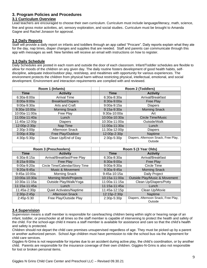# <span id="page-9-0"></span>**3. Program Policies and Procedures**

# <span id="page-9-1"></span>**3.1 Curriculum Overview**

Lead teachers are encouraged to choose their own curriculum. Curriculum must include language/literacy, math, science, fine and gross motor activities, art, sensory exploration, and social studies. Curriculum must be brought to Amanda Gagne and Rachel Jonason for approval.

# <span id="page-9-2"></span>**3.2 Daily Reports**

Staff will provide a daily report on infants and toddlers through an app called "Procare". Daily reports explain what they ate for the day, nap times, diaper changes and supplies that are needed. Staff and parents can communicate through this app with messages as well. New families will receive an email with instructions on how to register.

# <span id="page-9-3"></span>**3.3 Daily Schedule**

Daily Schedules are posted in each room and outside the door of each classroom. Infant/Toddler schedules are flexible to allow for moods of the children on any given day. The daily routine fosters development of good health habits, selfdiscipline, adequate indoor/outdoor play, rest/sleep, and mealtimes with opportunity for various experiences. The environment protects the children from physical harm without restricting physical, intellectual, emotional, and social development. Environment and interaction requirements are complied with and reviewed.

| Room 1 (Infants) |                          |                | Room 2 (Toddlers)                    |
|------------------|--------------------------|----------------|--------------------------------------|
| <b>Time</b>      | <b>Activity</b>          | Time           | <b>Activity</b>                      |
| $6:30a-8:00a$    | <b>Arrival Time</b>      | $6:30a-8:30a$  | Arrival/Breakfast                    |
| $8:00a-9:00a$    | <b>Breakfast/Diapers</b> | $8:30a-9:00a$  | <b>Free Play</b>                     |
| $9:00a-9:30a$    | Arts and Craft           | $9:00a-9:15a$  | <b>Diapers</b>                       |
| $9:30a-10:00a$   | <b>Morning Snack</b>     | $9:15a-9:30a$  | <b>Morning Snack</b>                 |
| 10:00a-11:00a    | Free Play                | $9:30a-10:00a$ | Art                                  |
| 11:00a-11:40a    | Lunch                    | 10:00a-10:30a  | <b>Circle Time/Music</b>             |
| 11:40a-12:00p    | <b>Diapers</b>           | 10:30a-11:00a  | Outside/Walk                         |
| 12:00p-2:30p     | Nap Time                 | 11:00a-11:30a  | Lunch                                |
| 2:30p-3:00p      | Afternoon Snack          | 11:30a-12:00p  | <b>Diapers</b>                       |
| 3:00p-4:30p      | Free Play/Outdoor        | 12:00p-2:30p   | Naptime                              |
| 4:30p-5:30p      | Clean Up/End of Day      | 2:30p-5:30p    | Diapers, Afternoon Snack, Free Play, |
|                  |                          |                | Outside                              |

| Room 3 (Preschoolers) |                                 | Room 5 (3 Year Olds) |                                                 |
|-----------------------|---------------------------------|----------------------|-------------------------------------------------|
| <b>Time</b>           | <b>Activity</b>                 | Time                 | <b>Activity</b>                                 |
| $6:30a-8:15a$         | Arrival/Breakfast/Free Play     | $6:30a-8:30a$        | Arrival/Breakfast                               |
| 8:15a-9:00a           | <b>Free Play</b>                | 8:30a-9:00a          | <b>Free Play</b>                                |
| $9:00a-9:20a$         | Circle Time/Calendar/Story Time | $9:00a-9:30a$        | Circle Time                                     |
| 9:20a-9:45a           | <b>Music &amp; Movement</b>     | $9:30a-9:45a$        | <b>Morning Snack</b>                            |
| 9:45a-10:00a          | Morning Snack                   | 9:45a-10:15a         | Daily Project                                   |
| 10:00a-10:30a         | <b>Morning Work/Projects</b>    | 10:15a-11:00a        | Outside Play/Music & Movement                   |
| 10:30a-11:15a         | Outside Play/Walk/Yoga          | 11:00a-11:15a        | Clean Up/Diapers/Potty                          |
| 11:15a-11:45a         | Lunch                           | 11:15a-11:45a        | Lunch                                           |
| 11:45a-2:30p          | Quiet Activates/Naptime         | 11:45a-12:15p        | Clean Up/Movie                                  |
| 2:30p-2:45p           | Afternoon Snack                 | 12:15p-2:30p         | Naptime                                         |
| 2:45p-5:30            | Free Play/Outside Play          | 2:30p-5:30p          | Diapers, Afternoon Snack, Free Play,<br>Outside |

# <span id="page-9-4"></span>**3.4 Supervision**

Supervision means a staff member is responsible for care/teaching children being within sight or hearing range of an infant, toddler, or preschooler at all times so the staff member is capable of intervening to protect the health and safety of the child. For the school-age child it means a staff member is available for assistance and care so that the child's health and safety is protected.

Children should not depart the child care premises unsupervised regardless of age. They must be picked up by a parent or another authorized person. School Age children must have permission to ride the school bus via the Agreement for child care services.

Giggles-N-Grins is not responsible for injuries due to an accident during active play, the child's coordination, or by another child. Parents are responsible for the insurance coverage of their own children. Giggles-N-Grins is also not responsible for lost or broken personal items.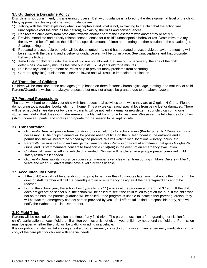# <span id="page-10-0"></span>**3.5 Guidance & Discipline Policy**

Discipline is not punishment; it is a learning process. Behavior guidance is tailored to the developmental level of the child. Many approaches dealing with behavior guidance are:

- 1) Talking with the child explaining what is acceptable and what is not, explaining to the child that the action was unacceptable (not the child as the person), explaining the rules and consequences.
- 2) Redirect the child away from problems towards another part of the classroom with another toy or activity.
- 3) Provide immediate and directly related consequences for a child's unacceptable behavior (ex. Destructive to a toy the toy would be off-limits to the child for a specific amount of time) and offering another solution to the situation (ex. Sharing, taking turns)
- 4) Repeated unacceptable behavior will be documented. If a child has repeated unacceptable behavior, a meeting will be set up with the parent, and a behavior guidance plan will be put in place. See Unacceptable and Inappropriate Behaviors Policy.
- 5) **Time Outs** for children under the age of two are not allowed. If a time out is necessary, the age of the child determines how many minutes the time out lasts. Ex., 4 years old for 4 minutes.
- 6) Duplicate toys and large motor activities help to prevent many problems from occurring.
- <span id="page-10-1"></span>7) Corporal (physical) punishment is never allowed and will result in immediate termination.

# **3.6 Transition of Children**

Children will be transition to the next ages group based on three factors: Chronological age, staffing, and maturity of child. Parents/Guardians wishes are always respected but may not always be granted due to the above factors.

#### <span id="page-10-2"></span>**3.7 Personal Possessions**

The staff work hard to provide your child with fun, educational activities to do while they are at Giggles-N-Grins. Please do not bring toys, puzzles, books, etc. from home. This way we can avoid special toys from being lost or damaged. There will be scheduled share days or toy days – parents will be notified via email or newsletter. Your child can bring **one** stuffed animal/doll that does **not make noise** and a blanket from home for rest time. Please send a full change of clothes (shirt, underwear, pants, and socks) appropriate for the season to be kept on site.

#### <span id="page-10-3"></span>**3.8 Transportation**

- Giggles-N-Grins will provide transportation for local fieldtrips for school agers (Kindergarten to 12-year-old) when necessary. All field trips planned will be posted ahead of time on the bulletin board in the entrance and a permission slip will need to be signed by the parents. We will walk to local locations – library, parks, etc.
- Parents/Guardians will sign an Emergency Transportation Permission Form at enrollment that gives Giggles-N-Grins, and its staff members consent to transport a child(ren) in the event of an emergency/evacuation.
- Children will never be left in a vehicle unattended. Children will be placed in age appropriate, compliant child safety restraints if needed.
- Giggles-N-Grins liability insurance covers staff member's vehicles when transporting children. Drivers will be 18 years and older. All drivers must have a valid driver's license.

#### <span id="page-10-4"></span>**3.9 Accountability Policy**

- If the child(ren) will not be attending or is going to be more than 10 minutes late, you must notify the program. The director/staff member will call the parent/guardian or emergency designee if the parent/guardian cannot be reached.
- During the school year, the school bus (typically bus 11) arrives at the program at or around 3:19pm. If the child does not get off the school bus, the school will be called to see if the child failed to get off the bus. If the child was not on the bus, the parents/guardian will be called. If the program is unable to locate either parent/guardian, they will contact the emergency contact person provided by you. If all efforts fail to find a responsible party, staff will notify the Wahpeton Police Department.

# <span id="page-10-5"></span>**3.10 Field Trips**

Parents will be notified of the location and time of any field trips. The parent must sign a form granting permission for a child's participation on each field trip. If written permission is not given, your child may not attend the field trip. Permission must be given whether the child will be walking or riding in a vehicle.

<span id="page-10-6"></span>It is our policy that staff will take along a first aid kit, emergency contact information and any emergency medication and a copy of the care plan for children with special needs.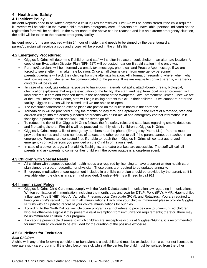# **4. Health and Safety**

# <span id="page-11-0"></span>**4.1 Incident Policy**

Incident Reports need to be written anytime a child injures themselves. First Aid will be administered if the child requires it. Parents will be called in the event a child requires emergency care. If parents are unavailable, persons indicated on the registration form will be notified. In the event none of the above can be reached and it is an extreme emergency situation, the child will be taken to the nearest emergency facility.

Incident report forms are required within 24 hour of incident and needs to be signed by the parent/guardian, parent/guardian will receive a copy and a copy will be placed in the child's file.

# <span id="page-11-1"></span>**4.2 Emergency Procedures:**

- Giggles-N-Grins will determine if children and staff will shelter in place or seek shelter in an alternate location. A copy of our Evacuation Disaster Plan (SFN 517) will be posted near our first aid station in the entry way.
- Parents/Guardians will be informed via email, text message, phone call and Procare App message if we are forced to see shelter in an alternate location. Once an all clear is given from emergency personnel, parents/guardians will pick their child up from the alternate location. All information regarding where, when, why, and how we sought shelter will be communicated to the parents. If we are unable to contact parents, emergency contacts will be called.
- In case of a flood, gas outage, exposure to hazardous materials, oil spills, attack-bomb threats, biological, chemical or explosions that require evacuation of the facility, the staff, and help from local law enforcement will load children in cars and transport them to the basement of the Wahpeton Law Enforcement Center. Once we are at the Law Enforcement Center, staff will begin calling parents to pick up their children. If we cannot re-enter the facility, Giggles-N-Grins will be closed until we are able to re-open.
- The evacuation/fire/tornado escape plans are posted on the bulletin board in the entrance.
- Tornado drills will be practiced during the months of May through September. In the event of a tornado, staff and children will go into the centrally located bathrooms with a first-aid kit and emergency contact information in it, flashlight, a portable radio and wait until the sirens go off.
- To reduce the risk of fire, Giggles-N-Grins follows the fire safety rules and state laws regarding smoke detectors and fire extinguishers. Fire drills will be practiced monthly with all children at Giggles-N-Grins.
- Giggles-N-Grins keeps a list of emergency numbers near the phone (Emergency Phone List). Parents must provide the names and phone numbers of at least one other person to call if the parent cannot be reached in an emergency. Parents are contacted first, if unable to reach them, Giggles-N-Grins will contact authorized emergency contact persons you provided on the Child Information sheet.
- In case of a power outage, a first aid kit, flashlights, and extra blankets are accessible. The staff will call all parents and ask parents to come for their children if the power outage is a long-term event.

# <span id="page-11-2"></span>**4.3 Children with Special Needs**

- All children with diagnosed special health needs are required by licensing to have a current written health care plan signed by a parent/guardian or physician. These plans are required to be updated annually.
- Emergency medication and/or equipment included in a child's care plan should be provided by the parent, so it is available when the child is in care. If not provided, Giggles-N-Grins will need to call 911.

# <span id="page-11-3"></span>**4.4 Immunization Policy**

- Giggles-N-Grins Child Care must comply with the North Dakota state immunization law regarding immunizations. Written verification of immunization; including the month, day, and year for DTaP, Polio (IPV), MMR, Haemophiles Influenzae Type B(HIB), Hep A, Varicella, Pneumococcal Conjugate (PCV), and Rotavirus. You are required to keep your child's record current with all immunizations. Each time your child is immunized please provide Giggles N Grins with an updated record of your child's immunizations for our files.
- According to the North Dakota law, childcare programs cannot refuse to provide care to unimmunized children who are otherwise eligible if they present a valid exemption from immunization requirements; therefor, there may be unimmunized children in our program.
- If a vaccine preventable disease to which children are susceptible occurs at Giggles-N-Grins, it is recommended for unimmunized children to be excluded for the duration of the possible exposure.

# <span id="page-11-4"></span>**4.5 Guidelines for Exclusion**

#### <span id="page-11-5"></span>*Sick Children*

A child with any of the following conditions or behaviors is a sick child and must be excluded from a center not licensed to operate a sick care program. If the child becomes sick while at the center, the child must be isolated from the other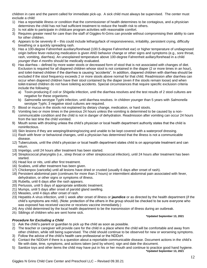children in care and the parent called for immediate pick-up. A sick child must always be supervised. The center must exclude a child:

- 1) Has a reportable illness or condition that the commissioner of health determines to be contagious, and a physician determines the child has not had sufficient treatment to reduce the health risk to others.
- 2) Is not able to participate in childcare program activities with reasonable comfort.
- 3) Requires greater need for care than the staff of Giggles-N-Grins can provide without compromising their ability to care for other children.
- 4) Appears to be severely ill this could include lethargy/lack of responsiveness, irritability, persistent crying, difficulty breathing or a quickly spreading rash.
- 5) Has a 100-degree Fahrenheit auxiliary/forehead (100.5-degree Fahrenheit ear) or higher temperature of undiagnosed origin before fever-reducing medication is given AND behavior change or other signs and symptoms (e.g., sore throat, rash, vomiting, diarrhea). An unexplained temperature above 100-degree Fahrenheit axillary/forehead in a child *younger than 4 months* should be medically evaluated.
- 6) Has diarrhea defined by more water stools or decreased form of stool that is not associated with changes of diet. Exclusion is required for all diapered children whose stool is not contained in the diaper (2 or more times in an hour), and toilet-trained children if the diarrhea is causing "accidents". In addition, diapered children with diarrhea should be excluded if the stool frequency exceeds 2 or more stools above normal for that child. Readmission after diarrhea can occur when diapered children have their stool contained by the diaper (even if the stools remain loose) and when toilet-trained children do not have toileting accidents. Special circumstances that require specific exclusion criteria include the following:
	- a) Toxin-producing *E coli* or *Shigella* infection, until the diarrhea resolves and the test results of 2 stool cultures are negative for these organisms.
	- b) *Salmonella* serotype Typhi infection, until diarrhea resolves. In children younger than 5 years with *Salmonella* serotype Typhi, 3 negative stool cultures are required.
- 7) Blood or mucus in the stools not explained by dietary change, medication, or hard stools.
- 8) Vomiting two or more times in the previous 24 hours unless the vomiting is determined to be caused by a noncommunicable condition and the child is not in danger of dehydration. Readmission after vomiting can occur 24 hours from the last time the child vomited.
- 9) Mouth sores with drooling unless the child's physician or local health department authority states that the child is noninfectious.
- 10) Skin lesions if they are weeping/draining/oozing and unable to be kept covered with a waterproof dressing.
- 11) Rash with fever or behavioral changes, until a physician has determined that the illness is not a communicable disease.
- 12) Tuberculosis, until the child's physician or local health department states child is on appropriate treatment and can return.
- 13) Impetigo, until 24 hours after treatment has been started.
- 14) Streptococcal pharyngitis (i.e., strep throat or other streptococcal infection), until 24 hours after treatment has been started.
- 15) Head lice or nits, until after first treatment.
- 16) Scabies, until after treatment has been given.
- 17) Chickenpox (varicella) until all lesions have dried or crusted (usually 6 days after onset of rash).
- 18) Persistent abdominal pain (continues for more than 2 hours) or intermittent abdominal pain associated with fever, dehydration, or other signs or symptoms of illness.
- 19) Rubella, until 6 days after the rash appears.
- 20) Pertussis, until 5 days of appropriate antibiotic treatment.
- 21) Mumps, until 5 days after onset of parotid gland swelling.
- 22) Measles, until 4 days after onset of rash.
- 23) Hepatitis A virus infection, until 1 week after onset of illness or **jaundice** or as directed by the health department (if the child's symptoms are mild). (Note: protection of the others in the group should be checked to be sure everyone who was exposed has received vaccine or receives vaccine immediately.)
- 24) Any child determined by the local health department to be the transmission of illness during an outbreak.
- 25) Siblings of children who are sent home sick.

# <span id="page-12-0"></span>*Procedure for Excluding a Child*

- 1) Ask the child's parent or guardian to pick up the child as soon as possible.
- 2) The teacher or caregiver will provide care for the child in a place where the child will be comfortable and away from other children, while still being supervised. The child should continue to be observed for new or worsening symptoms.
- 3) Follow the advice of the child's health care professional or the NDDoH.
- 4) Contact the NDDoH if there is a question about a reportable communicable disease. Document actions in the child's file with date, time, symptoms, and actions taken (and by whom); sign and date the document.
- 5) Sanitize toys and other items the child may have put in his or her mouth and continue to practice good hand hygiene. **\*Updated September 13, 2021**

#### **\*Updated September 13, 2021**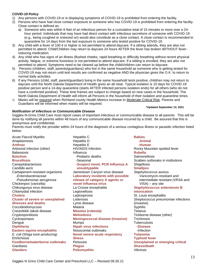#### <span id="page-13-0"></span>*COVID-19 Policy*

- 1) Any persons with COVID-19 or is displaying symptoms of COVID-19 is prohibited from entering the facility.
- 2) Persons who have had close contact exposure to someone who has COVID-19 is prohibited from entering the facility. Close contact is defined as:
	- a) Someone who was within 6 feet of an infectious person for a cumulative total of 15 minutes or more over a 24 hour period. Individuals that may have had direct contact with infectious secretions of someone with COVID-19 (e.g., being coughed or sneezed on) would also constitute as a close contact. A close contact is recommended to quarantine for 14 days from the last exposure to someone who tested positive for COVID-19.
- 3) Any child with a fever of 100.4 or higher is not permitted to attend daycare. If a sibling attends, they are also not permitted to attend. Child/Children may return to daycare 24 hours AFTER the fever has broken WITHOUT feverreducing medication.
- 4) Any child who has signs of an illness (flushed cheeks, rapid breathing or difficulty breathing without recent physical activity, fatigue, or extreme fussiness is not permitted to attend daycare. If a sibling is enrolled, they are also not permitted to attend. Symptoms need to be cleared up before the child/children can return to daycare.
- 5) Persons (children, staff, parents/guardians) who live in the same household as someone who is getting tested for COVID-19 may not return until test results are confirmed as negative AND the physician gives the O.K. to return to normal daily activities.
- 6) If any Persons (child, staff, parent/guardian) living in the same household tests positive, child/ren may not return to daycare until the North Dakota Department of Health gives an all clear. Typical isolation is 10 days for COVID-19 positive person and a 14-day quarantine (starts AFTER infected persons isolation ends) for all others (who do not have a confirmed positive). These time frames are subject to change based on new cases in the household. The North Dakota Department of Health will inform all Persons in the household of their isolation and quarantine times.
- 7) Masks will be required when Richland county Health Metrics increase to Moderate-Critical Risk. Parents and Guardians will be informed when masks will be required.

#### <span id="page-13-1"></span>*Notification of Infectious or Communicable Disease*

#### **\*Updated September 13, 2021**

Giggles-N-Grins Child Care must report cases of important infectious or communicable disease to all parents. This will be done by notifying all parents within 48 hours of any communicable disease incurred by a child. Be assured that this is anonymous and confidential.

Parents must notify the provider within 24 hours of the diagnosis of a serious contagious illness or parasitic infection listed below:

Acute Flaccid Myelitis **Rabies Hepatitis C Rabies Rabies** 

Anaplasmosis Hepatitis D **-Animal Anthrax E -Human** Arboviral Infection (other) HIV/AIDS Infection Rocky Mountain spotted fever Babesiosis Influenza **Rubella Botulism Example 3 Constructed Salmonellosis -Pediatric deaths Salmonellosis Salmonellosis Brucellosis Example 3** and Seasonal **Scabies outbreaks in institutions Scabies** outbreaks in institutions Campylobacteriosis -**Suspect novel, PCR Influenza A** Shigellosis *Candida auris* **unsubtypable Smallpox** Carbapenem-resistant organisms Jamestown Canyon virus disease *Staphylococcus aureus* -*Enterobacteriaceae* **Laboratory incidents with possible** -Vancomycin-resistant and -*Pseudomonas aeruginosa* **release of category A agents or** intermediate resistant (VRSA and Chickenpox (varicella) **novel influenza virus** VISA) – any site Chikungunya virus disease La Crosse encephalitis *Staphylococcus* **enterotoxin B** Chlamydial infection Legionellosis **intoxication Cholera Cholera Leptospirosis St. Louis encephalitis Cluster of severe or unexplained** Listeriosis *Streptococcus pneumoniae* infections **illnesses and deaths** Lyme disease (invasive) Coccidioidomycosis Malaria Syphilis Creutzfeldt-Jakob disease **Measles (rubeola)** Tetanus Cryptosporidiosis **Melioidosis** Tickborne disease (other) Cyclosporiasis **Meningococcal disease (invasive)** Trichinosis **Dengue Community Community Community Community Community Community Community Community Community Community Community Community Community Community Community Community Community Community Community Community Community Comm Diphtheria Nipah virus infections -Disease Eastern equine encephalitis** Nosocomial outbreaks -Infection *E. coli* (Shiga toxin-producing) **Novel severe acute respiratory Tularemia** Ehrlichiosis **illness Typhoid fever Foodborne/waterborne outbreaks** Pertussis **Notational Except Constructs Unexplained or emerging critical** Giardiasis **Plague illness/death Glanders Poliomyelitis** Vibriosis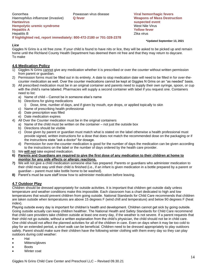Gonorrhea Powassan virus disease **Viral hemorrhagic fevers** *Haemophilus influenzae* (invasive) **Q fever Weapons of Mass Destruction Hantavirus suspected event Hempolytic uremic syndrome** West Nile Virus Nile Virus Nile Virus Nile Virus Nile Virus Nile Virus Nile Virus Ni **Hepatitis A Yellow fever** Hepatitis B Zika virus **If highlighted red, report immediately: 800-472-2180 or 701-328-2378**

#### **\*Updated September 13, 2021**

#### <span id="page-14-0"></span>*Lice*

Giggles N Grins is a nit free zone. If your child is found to have nits or lice, they will be asked to be picked up and remain home until the Richland County Health Department has deemed them nit free and that they may return to daycare. To make

# <span id="page-14-1"></span>**4.6 Medication Policy**

- 1) Giggles N Grins cannot give any medication whether it is prescribed or over the counter without written permission from parent or guardian.
- 2) Permission forms must be filled out in its entirety. A date to stop medication date will need to be filled in for over-thecounter medication as well. Over the counter medications cannot be kept at Giggles N Grins on an "as needed" basis.
- 3) All prescribed medication must be in an original container and parents need to supply their own syringe, spoon, or cup with the child's name labeled. Pharmacies will supply a second container with label if you request one. Containers need to list:
	- a) Name of child Cannot be in someone else's name
	- b) Directions for giving medications
		- Dose, time, number of days, and if given by mouth, eye drops, or applied topically to skin
	- c) Name of prescribing health professional
	- d) Date prescription was filled
	- e) Date medication expires
- 4) All Over the Counter medication must be in the original containers
	- a) Name of the child must be written on the container not just the outside box
	- b) Directions should be visible
	- c) Dose given by parent or guardian must match what is stated on the label otherwise a health professional must provide signed, written instructions for a dose that does not match the recommended dose on the packaging or if the instructions state "ask a doctor" for dosage.
	- d) Permission for over-the-counter medication is good for the number of days the medication can be given according to the instructions on the label or the number of days ordered by the health care provider.
- 5) We **will not** take expired medication.
- **6) Parents and Guardians are required to give the first dose of any medication to their children at home to monitor for any side effects or allergic reactions.**
- **7)** We will not give a child medication someone else has prepared. Parents or guardians who administer medication to their child must stay until their child is finished (i.e., if an infant is given medication in a bottle prepared by a parent or guardian – parent must take bottle home to be washed).
- <span id="page-14-2"></span>**8)** Parent's must be sure staff know how to administer medication before leaving.

# **4.7 Outdoor Play**

Children should be dressed appropriately for outside activities. It is important that children get outside daily unless temperature and weather conditions make this impossible. Each classroom has a chart dedicated to high and low temperatures that would prevent children from going outside. National Standards for Child Care recommends that children are taken outside when temperatures are above 15 degrees F (wind chill and temperature) and below 90 degrees F (heat index).

Playing outside every day is important for children's health and development. Children cannot get sick by going outside. Going outside actually can keep children healthier. The National Health and Safety Standards for Child Care recommend that child care providers take children outside at least one every day, if the weather is not severe. If a parent requests that their child not go outside, without a written explanation from the child's physician, the child should not be in child care. One child should not affect the planned activities for all of the children in care. Even on days when it may be too cold to play for an extended period, a short walk can be beneficial. Children need to be dressed appropriately to play outdoors safely. Parent should make sure their children have the following winter clothing with them every day so they can play outdoors during cold weather:

- Hat
- Mittens/gloves
- Boots
- Winter coat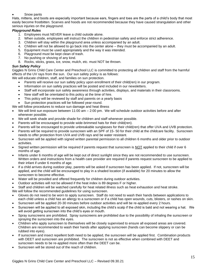#### Snow pants

Hats, mittens, and boots are especially important because ears, fingers and toes are the parts of a child's body that most easily become frostbitten. Scarves and hoods are not recommended because they have caused strangulation and other serious injuries on the playground.

#### <span id="page-15-0"></span>*Playground Rules*

- 1. Employees must NEVER leave a child outside alone.
- 2. When outside, employees will instruct the children in pedestrian safety and enforce strict adherence.
- 3. Children will stay within the playground area unless accompanied by an adult.
- 4. Children will not be allowed to go back into the center alone they must be accompanied by an adult.
- 5. Equipment must be used appropriately and the way it was intended.
- 6. Playground must be kept clean of trash.
- 7. No pushing or shoving of any kind.
- 8. Rocks, sticks, grass, ice, snow, mulch, etc. must NOT be thrown.

#### <span id="page-15-1"></span>*Sun Safety Policy*

Giggles N Grins Child Care Center and Preschool LLC is committed to protecting all children and staff from the harmful effects of the UV rays from the sun. Our sun safety policy is as follows:

We will educate children, staff, and families on sun protection.

- Parents will receive our sun safety policy upon enrollment of their child(ren) in our program.
- Information on sun safety practices will be posted and included in our newsletters.
- Staff will incorporate sun safety awareness through activities, displays, and materials in their classrooms.
- New staff will be orientated to this policy at the time of hire.
- This policy will be reviewed by staff and parents on a yearly basis
- Sun protection practices will be followed year-round.

We will follow procedures to reduce sun damage and heat illness

- We will limit sun exposure between 11:00 am 2:00 pm. We will schedule outdoor activities before and after whenever possible.
- We will seek shade and provide shade for children and staff whenever possible.
- Parents will be encouraged to provide wide-brimmed hats for their child(ren).
- Parents will be encouraged to provide unbreakable sunglasses for their child(ren) that offer UVA and UVB protection.
- Parents will be required to provide sunscreen with an SPF of 15- 50 for their child at the childcare facility. Sunscreen needs to offer protection from UVA and UVB rays and be water resistant.
- Sunscreen will be applied with signed written parental permission to all children 6 months and older prior to outdoor activities.
- Signed written permission will be required if parents request that sunscreen is NOT applied to their child if over 6 months of age.
- Infants under 6 months of age will be kept out of direct sunlight since they are not recommended to use sunscreen. Written orders and instructions from a health care provider are required if parents request sunscreen to be applied to their infant if under 6 months of age.
- If a child arrives during outdoor play, parents will be asked if sunscreen has been applied. If not, sunscreen will be applied, and the child will be encouraged to play in a shaded location (if available) for 20 minutes to allow the sunscreen to become effective.
- Water will be provided and offered frequently for children during outdoor activities.
- Outdoor activities will not be allowed if the heat index is 89 degrees F or higher.
- Staff and children will be watched carefully for heat related illness such as heat exhaustion and heat stroke.

We will follow the recommended guidelines for using sunscreen.

- Gloves do not need to be worn to apply sunscreen. Staff do not need to wash their hands between applications to each child unless a child has an allergy to a sunscreen or if a child has open wounds, cuts, blisters, or rashes on skin.
- Sunscreen will be applied 20-30 minutes before outdoor activities and will be re-applied every 2 hours.
- Sunscreen will be applied to all exposed skin, including the child's scalp if the child is bald and not wearing a hat. We will avoid getting sunscreen into the child's eyes or mouth.
- Spray sunscreens are prohibited. Spray sunscreens are prohibited due to the possibility of inhaling the sunscreen or spraying the sunscreen into the eyes.
- Children who apply sunscreen to themselves will be closely supervised to ensure all exposed areas are covered. Children are recommended to wash their hands after applying sunscreen (hands can become slippery or can be rubbed into eyes).
- If sunscreen and insect repellent both need to be applied, the sunscreen will be applied first. Combination products with DEET and sunscreen are prohibited. The sunscreen is not as effective when combined with DEET and sunscreen needs to be re-applied more often than the DEET can be.
- Sunscreen will be stored out of the reach of children.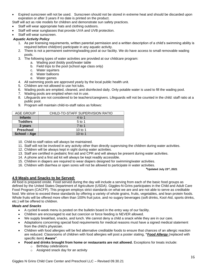- Expired sunscreen will not be used. Sunscreen should not be stored in extreme heat and should be discarded upon expiration or after 3 years if no date is printed on the product.
- Staff will act as role models for children and demonstrate sun safety practices.
- Staff will wear appropriate hats and clothing outdoors.
- Staff will wear sunglasses that provide UVA and UVB protection.
- Staff will wear sunscreen.

# <span id="page-16-0"></span>*Aquatic Activity Policy*

- 1. As per licensing requirements, written parental permission and a written description of a child's swimming ability is required before child(ren) participate in any aquatic activity.
- 2. There is not a permanent swimming/wading pool at our facility. We do have access to small removable wading pools.
- 3. The following types of water activities are provided at our childcare program:
	- a. Wading pool (kiddy pool)/water table
	- b. Field trips to the pool (school age class only)
	- c. Water squirters
	- d. Water balloons
	- e. Water games
- 4. All swimming pools are approved yearly by the local public health unit.
- 5. Children are not allowed to use hot tubs.
- 6. Wading pools are emptied, cleaned, and disinfected daily. Only potable water is used to fill the wading pool.
- 7. Wading pools are emptied when not in use.
- 8. Lifeguards are not considered to be teachers/caregivers. Lifeguards will not be counted in the child: staff ratio at a public pool.
- 9. Program will maintain child-to-staff ratios as follows:

| AGE GROUP       | CHILD-TO-STAFF SUPERVISION RATIO |
|-----------------|----------------------------------|
| <b>Infants</b>  | 4 to 1                           |
| <b>Toddlers</b> | $5$ to 1                         |
| 3 years         | 7 to 1                           |
| Preschool       | 10 to 1                          |
| School - Age    | 10 to 1                          |

- 10. Child-to-staff ratios will always be maintained.
- 11. Staff will not be involved in any activity other than directly supervising the children during water activities.
- 12. Children will be always kept in sight during water activities.
- 13. Staff are certified in pediatric first aid and CPR and will always be present during water activities.
- 14. A phone and a first aid kit will always be kept readily accessible.
- 15. Children in diapers are required to wear diapers designed for swimming/water activities.
- 16. Children with diarrhea or open sores will not be allowed to participate in water activities.

#### <span id="page-16-1"></span>**\*Updated July 23rd, 2021**

#### **4.9 Meals and Snacks to be Served:**

All food is prepared onsite. Food served during the day will include a serving from each of the basic food groups as defined by the United States Department of Agriculture (USDA). Giggles-N-Grins participates in the Child and Adult Care Food Program (CACFP). This program employs strict standards on what we are and are not able to serve as creditable food. We strive to exceed these standards by offering a variety of whole grains, fruits, vegetables, and lean protein foods. Whole fruits will be offered more often than 100% fruit juice, and no sugary beverages (soft drinks, Kool-Aid, sports drinks, etc.) will be offered to children.

#### <span id="page-16-2"></span>*Meals and Snacks*

- A cycled 6-week menu is posted on the bulletin board in the entry way of our facility.
- Children are encouraged to eat but coercion or force feeding is NEVER allowed.
- We supply breakfast, snacks, and lunch. We cannot deny a child a snack while they are in our care.
- Adaptations concerning special food requirements for medical reasons must have a signed medical statement from the child's physician.
- Children with food allergies will be fed alternative creditable foods to ensure that chances of an allergic reaction are reduced. Classrooms of children with food allergies will post a poster stating, **"***Food Allergy* (replaced with specific item) **Aware"**.
- **Food and drinks brought from home or restaurants are not allowed.** Exceptions for treats include:
	- o Birthday celebrations
	- o Assigned snack day for an activity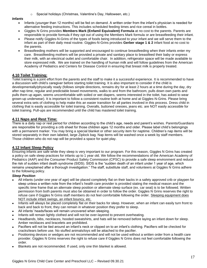Special holidays (Christmas, Valentine's Day, Halloween, etc.)

#### <span id="page-17-0"></span>*Infants*

- Infants (younger than 12 months) will be fed on demand. A written order from the infant's physician is needed for alternative feeding instructions. This includes scheduled feeding times and rice cereal in bottles.
- Giggles N Grins provides **Members Mark (Enfamil Equivalent) Formula** at no cost to the parents. Parents are responsible to provide formula if they opt out of using the Members Mark formula or are breastfeeding their infant.
- Please notify Giggles-N-Grins of the types of foods being introduced to your infant and we will serve them to the infant as part of their daily meal routine. Giggles-N-Grins provides **Gerber stage 1 & 2** infant food at no cost to the parents.
- Breastfeeding mothers will be supported and encouraged to continue breastfeeding when their infants enter my care. Breastfeeding mothers will be provided a private and sanitary place to breastfeed their baby or express their milk, with an electrical outlet and comfortable chair. In addition, refrigerator space will be made available to store expressed milk. We are trained on the handling of human milk and will follow guidelines from the American Academy of Pediatrics and Centers for Disease Control in ensuring that breast milk is properly treated.

# <span id="page-17-1"></span>**4.10 Toilet Training:**

Toilet training is a joint effort from the parents and the staff to make it a successful experience. It is recommended to have a discussion with child's caregiver before starting toilet training. It is also important to consider if the child is developmentally/physically ready (follows simple directions, remains dry for at least 2 hours at a time during the day, dry after nap time, regular and predictable bowel movements, walks to and from the bathroom, pulls down own pants and pulls them up again, seems uncomfortable with soiled or wet diapers, seems interested in the toilet, has asked to wear grown-up underwear). It is important to follow a consistent routine both at home and at Giggles-N-Grins. Please bring several extra sets of clothing to help make this an easier transition for all parties involved in this process. Dress child in clothing that is easily accessible for toilet training. Overalls, buttoned onesies, jeans etc. are NOT easily accessible for toilet training. Pull-ups are recommended until the child has mastered toilet training.

# <span id="page-17-2"></span>**4.11 Naps and Rest Time:**

There is a daily nap or rest period for children according to the child's age, needs and parent's wishes. Parents/Guardians are responsible for providing a crib sheet for those children ages 12 months and older. Please label child's belongings with a permanent marker. You may bring a special blanket or other security item for naptime. Children's nap items will be stored separately in their own labeled, large Ziplock bag. Nap items will be washed once a week by staff members. Those children who do not nap will be provided a space for quiet play.

#### <span id="page-17-3"></span>**4.12 Infant Sleep Policy**

Ensuring infants are safe while they sleep is very important to our program. For this reason, Giggles N Grins has created a policy on safe sleep practices for infants up to 1 year old. We follow the recommendations of the American Academy of Pediatrics (AAP) and the Consumer Product Safety Commission (CPSC) to provide a safe sleep environment and reduce the risk of sudden infant death syndrome (SIDS). SIDS is the "sudden death of an infant under 1 year of age, which remains unexplained after a thorough investigation." The staff, substitute staff, and volunteers at Giggles N Grins adhere to the following policy.

#### <span id="page-17-4"></span>*Sleep Position*

- All infants (under one year of age) will be placed completely flat on their backs in a safety approved crib or playpen for sleep unless a written note from the infant's health care provider is provided stating the medical reason and the specific time frame that an alternate sleep position or alternate sleep surface (ex. car seat) is to be followed. Written permission from both parents must also be obtained in order to follow the order. Giggles N Grins reserves the right to refuse care if Giggles N Grins staff members do not feel comfortable following the order. Sleeping equipment does NOT include infant swings, an infant bouncy, etc.
- Infants will always be placed completely flat on their backs for sleep. However, when an infant can easily turn front to back and back to front, they can remain in whatever position they prefer to sleep.
- All infants' heads/faces will remain uncovered when sleeping.
- Infants will remain lightly clothed and will not be over-layered to prevent overheating.
- Headbands, bibs, necklaces, hooded sweatshirts, and hats will be removed before laying an infant down for sleep. Amber necklaces and bracelets are prohibited.
- Pacifiers will not be tied around an infant's neck or clipped on to an infant's clothing. Pacifiers will be checked for cracks/tears before use. No stuffed animals/toys will be attached to the pacifier.
- Positioning devices or wedges are not recommended and will not be used without a written order from a health care provider. Giggles N Grins reserves the right to refuse care if Giggles N Grins does not feel comfortable following the order.
- Blankets are not recommended. If used, only one thin blanket is allowed.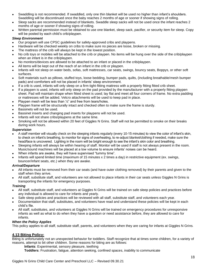- Swaddling is not recommended. If swaddled, only one thin blanket will be used no higher than infant's shoulders. Swaddling will be discontinued once the baby reaches 2 months of age or sooner if showing signs of rolling.
- Sleep sacks are recommended instead of blankets. Swaddle sleep sacks will not be used once the infant reaches 2 months of age or sooner if showing signs of rolling.
- Written parental permission must be obtained to use one blanket, sleep sack, pacifier, or security item for sleep. Copy will be posted by each child's crib/playpen.

### <span id="page-18-0"></span>*Sleep Environment*

- Our program will use CPSC guidelines for safety-approved cribs and playpens.
- Hardware will be checked weekly on cribs to make sure no pieces are loose, broken or missing.
- The mattress of the crib will always be kept in the lowest position.
- No crib toys or mobiles will be attached to the crib or playpen. No items will be hung over the side of the crib/playpen when an infant is in the crib/playpen.
- No monitors/devices are allowed to be attached to an infant or placed in the crib/playpen.
- All items will be kept out of the reach of an infant in the crib or playpen.
- Infants will not sleep on water beds, sofas, soft mattresses, car seats, swings, bouncy seats, Boppys, or other soft surfaces.
- Soft materials such as pillows, stuffed toys, loose bedding, bumper pads, quilts, (including breathable/mesh bumper pads) and comforters will not be placed in infants' sleep environment.
- If a crib is used, infants will only sleep on a firm tight-fitting mattress with a properly fitting fitted crib sheet.
- If a playpen is used, infants will only sleep on the pad provided by the manufacturer with a properly fitting playpen sheet. Pad will maintain shape when fitted sheet is used; lay flat and meet all four corners of frame. No extra padding or mattresses will be added. Velcro attachments will be used to keep pad in place.
- Playpen mesh will be less than  $\frac{1}{4}$ " and free from tears/holes.
- Playpen frame will be structurally intact and checked often to make sure the frame is sturdy.
- Bassinets will not be used.
- Bassinet inserts and changing pad inserts for playpens will not be used.
- Infants will not share cribs/playpens at the same time.
- Smoking will not be allowed within 20 feet of Giggles N Grins. Staff will not be permitted to smoke on their breaks during work hours.

# <span id="page-18-1"></span>*Supervision*

- A staff member will visually check on the sleeping infants regularly (every 10-15 minutes) to view the color of infant's skin, to check on infant's breathing, to monitor for signs of overheating, to re-adjust blanket/clothing if needed, make sure the head/face is uncovered. Lighting in the room will be bright enough to see the infant's skin color and breathing.
- Sleeping infants will always be within hearing of staff. Monitor will be used if staff is not always present in the room. Music/sound machines will be placed at a low volume to ensure infants' noises can be heard.
- When infants are awake, they will have supervised "tummy time".
- Infants will spend limited time (maximum of 15 minutes x 2 times a day) in restrictive equipment (ex. swings, bouncer/infant seats, etc.) when they are awake.

#### <span id="page-18-2"></span>*Arrival/Departure*

- All infants must be removed from their car seats (and have outer clothing removed) by their parents and given to the staff when they arrive.
- All staff, substitute staff, and volunteers are not allowed to place infants in their car seats unless Giggles N Grins is transporting the infants for emergency purposes.

#### <span id="page-18-3"></span>*Training*

- All staff, substitute staff, and volunteers at Giggles N Grins will be trained on safe sleep policies and practices before any individual is allowed to care for infants and yearly.
- Safe sleep policies and practices will be reviewed with all staff, substitute staff, and volunteers each year.
- Documentation that staff, substitutes, and volunteers have read and understand these policies will be kept in each child's file.
- All staff, substitutes, and volunteers at Giggles N Grins will be trained on emergency procedures for unresponsive infants as well as what to do when they have a question or need assistance before, they are allowed to care for infants.

#### <span id="page-18-4"></span>*When the Policy Applies*

<span id="page-18-5"></span>This policy applies to all staff, substitute staff, parents, and volunteers when they are caring for infants at Giggles N Grins.

#### **4.13 Biting Policy:**

Biting is unfortunately not an unexpected behavior for toddlers. Staff recognize that at times some children, for a variety of reasons, attempt to bit other children. Some reasons for biting are as follows:

**Infants**: Experimental, sensory pleasure, teething

**Toddlers**: Frustration, fatigue, attention seeking, confined spaces, inability to communicate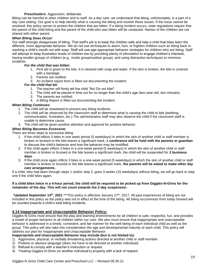#### **Preschoolers**: Aggression, deliberate.

Biting can be harmful to other children and to staff. As a day care, we understand that biting, unfortunately, is a part of a day care setting. Our goal is to help identify what is causing the biting and resolve these issues. If the issue cannot be resolved, this policy serves to protect the children that are bitten. If a biting incident occurs, state regulations require that the parent of the child biting and the parent of the child who was bitten will be contacted. Names of the children are not shared with either parent.

#### <span id="page-19-0"></span>*When Biting Does Occur:*

Our staff strongly disapproves of biting. That staff's job is to keep the children safe and help a child that bites learn the different, more appropriate behavior. We do not use techniques to alarm, hurt, or frighten children such as biting back or washing a child's mouth out with soap. Staff will use age-appropriate behavior strategies for children who are biting. Staff will attempt to keep frustration levels of children low by providing plenty of stimulation to engage children's interests, having smaller groups of children (e.g., inside group/outdoor group), and using distraction techniques to minimize incidents.

#### *For the child that was bitten:*

- 1. First aid is given to the bite. It is cleaned with soap and water. If the skin is broken, the bite is covered with a bandage.
- 2. Parents are notified.
- 3. An incident report form is filled out documenting the incident.

# *For the child that bit:*

- 1. The teacher will firmly tell the child "No! Do not bite!"
- 2. The child will be placed in time out for no longer than the child's age (two-year-old, two minutes).
- 3. The parents are notified.
- 4. A Biting Report is filled out documenting the incident.

#### <span id="page-19-1"></span>*When Biting Continues:*

- 1. The child will be shadowed to prevent any biting incidents.
- 2. The child will be observed by the classroom staff to determine what is causing the child to bite (teething, communication, frustration, etc.) The administrative staff may also observe the child if the classroom staff is unable to determine cause.
- 3. The child will be given positive attention and approval for positive behavior.

#### <span id="page-19-2"></span>*When Biting Becomes Excessive:*

There are three steps to excessive biting:

- 1. If the child inflicts 3 bites in one week period (5 weekdays) in which the skin of another child or staff member is broken or bruised or the bite leaves a significant mark, a **conference will be held with the parents or guardian** to discuss the child's behavior and how the behavior may be modified.
- 2. If the child again inflicts 3 bites in a one-week period (5 weekdays) in which the skin of another child or staff member is broken or bruised or the bite leaves a significant mark, the child will be suspended for **2 business days**.
- 3. If the child once again inflicts 3 bites in a one-week period (5 weekdays) in which the skin of another child or staff member is broken or bruised or the bite leaves a significant mark, **the parents will be asked to make other day care arrangements.**

If a child, who had been through steps 1 and/or step 2, goes 3 weeks (15 weekdays) without biting, we will go back to step one if the child bites again.

#### **If a child bites twice in a 4-hour period, the child will be required to be picked up from Giggles-N-Grins for the remainder of the day. This will not count towards the 2-day suspension.**

\***Updated September 14th, 2021** \*\*\*This policy is effective January 27th, 2017. All past experiences of biting are not included in this policy as the policy was not in effect at the time of the biting. All biting occurrences from today forward will be counted towards a child's total biting incidents.

# <span id="page-19-3"></span>**4.14 Inappropriate and Unacceptable Behavior Policy:**

Giggles-N-Grins must ensure that the play and learning environments for all children is safe, respectful, fun, and provides a model of proper behavior to all children within our care. We also must ensure that inappropriate and unacceptable behavior is addressed in a timely, consistent, and fair manner for the well-being of each individual child as well as the group. This policy will also take into consideration the age and developmental maturity of each child. This policy will address our plan for Inappropriate and Unacceptable Behavior.

# **Inappropriate and Unacceptable Behavior may include (but is not limited to):**

- 1) Aggressive, physical, or verbally threatening actions directed at another child or staff member.
- 2) Profane or abusive language (does not have to be directed at another individual)
- 3) Refusal to comply with a teacher's instruction or request.
- 4) Treating Giggles-N-Grins (or another individual's) property with a lack of respect.